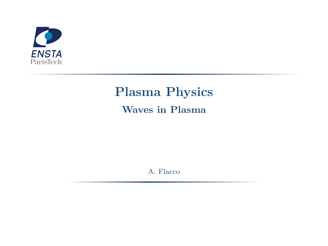

# **Plasma Physics Waves in Plasma**

A. Flacco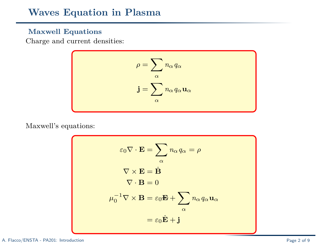## **Waves Equation in Plasma**

### **Maxwell Equations**

Charge and current densities:

$$
\rho = \sum_{\alpha} n_{\alpha} q_{\alpha}
$$

$$
\mathbf{j} = \sum_{\alpha} n_{\alpha} q_{\alpha} \mathbf{u}_{\alpha}
$$

Maxwell's equations:

$$
\varepsilon_0 \nabla \cdot \mathbf{E} = \sum_{\alpha} n_{\alpha} q_{\alpha} = \rho
$$
  

$$
\nabla \times \mathbf{E} = \dot{\mathbf{B}}
$$
  

$$
\nabla \cdot \mathbf{B} = 0
$$
  

$$
\mu_0^{-1} \nabla \times \mathbf{B} = \varepsilon_0 \mathbf{E} + \sum_{\alpha} n_{\alpha} q_{\alpha} \mathbf{u}_{\alpha}
$$
  

$$
= \varepsilon_0 \dot{\mathbf{E}} + \mathbf{j}
$$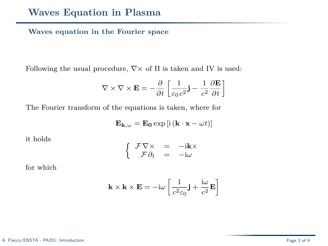### **Waves equation in the Fourier space**

Following the usual procedure,  $\nabla \times$  of II is taken and IV is used:

$$
\nabla \times \nabla \times \mathbf{E} = -\frac{\partial}{\partial t} \left[ \frac{1}{\varepsilon_0 c^2} \mathbf{j} - \frac{1}{c^2} \frac{\partial \mathbf{E}}{\partial t} \right]
$$

The Fourier transform of the equations is taken, where for

$$
\mathbf{E}_{\mathbf{k},\omega}=\mathbf{E_{0}}\exp\left[i\left(\mathbf{k}\cdot\mathbf{x}-\omega t\right)\right]
$$

it holds

$$
\begin{cases}\n\begin{array}{rcl}\n\mathcal{F}\nabla\times & = & -\mathrm{i}\mathbf{k}\times \\
\mathcal{F}\partial_t & = & -\mathrm{i}\omega\n\end{array}\n\end{cases}
$$

for which

$$
\mathbf{k} \times \mathbf{k} \times \mathbf{E} = -i\omega \left[ \frac{1}{c^2 \varepsilon_0} \mathbf{j} + \frac{i\omega}{c^2} \mathbf{E} \right]
$$

#### A. Flacco/ENSTA - PA201: Introduction Page 3 of 9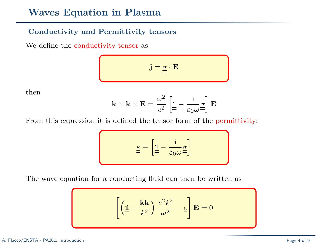# **Waves Equation in Plasma**

### **Conductivity and Permittivity tensors**

We define the conductivity tensor as

$$
\mathbf{j} = \underline{\underline{\sigma}} \cdot \mathbf{E}
$$

then

$$
\mathbf{k} \times \mathbf{k} \times \mathbf{E} = \frac{\omega^2}{c^2} \left[ \underline{\mathbb{1}} - \frac{\mathrm{i}}{\varepsilon_0 \omega} \underline{\sigma} \right] \mathbf{E}
$$

From this expression it is defined the tensor form of the permittivity:

$$
\underline{\underline{\epsilon}} \equiv \left[ \underline{\underline{\mathbb{1}}} - \frac{i}{\epsilon_0 \omega} \underline{\underline{\sigma}} \right]
$$

The wave equation for a conducting fluid can then be written as

$$
\left[ \left( \underline{\underline{\mathbb{1}}} - \frac{\mathbf{k} \mathbf{k}}{k^2} \right) \frac{c^2 k^2}{\omega^2} - \underline{\underline{\varepsilon}} \right] \mathbf{E} = 0
$$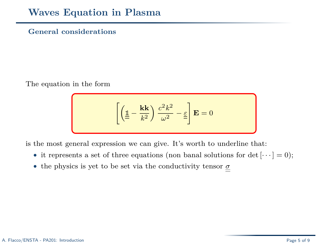### **General considerations**

The equation in the form

$$
\left[ \left( \underline{\underline{\mathbb{1}}} - \frac{\mathbf{k} \mathbf{k}}{k^2} \right) \frac{c^2 k^2}{\omega^2} - \underline{\underline{\varepsilon}} \right] \mathbf{E} = 0
$$

is the most general expression we can give. It's worth to underline that:

- it represents a set of three equations (non banal solutions for det  $[\cdots] = 0$ );
- $\bullet\,$  the physics is yet to be set via the conductivity tensor  $\underline{\sigma}$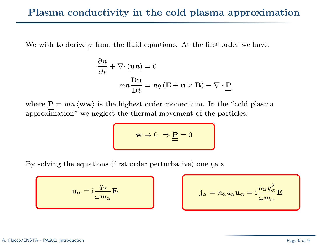We wish to derive  $\sigma$  from the fluid equations. At the first order we have:

$$
\frac{\partial n}{\partial t} + \nabla \cdot (\mathbf{u}n) = 0
$$

$$
mn \frac{\mathbf{D} \mathbf{u}}{\mathbf{D} t} = nq (\mathbf{E} + \mathbf{u} \times \mathbf{B}) - \nabla \cdot \underline{\mathbf{P}}
$$

where  $\underline{P} = mn \langle \mathbf{w} \mathbf{w} \rangle$  is the highest order momentum. In the "cold plasma" approximation" we neglect the thermal movement of the particles:

$$
\mathbf{w} \to 0 \Rightarrow \underline{\mathbf{P}} = 0
$$

By solving the equations (first order perturbative) one gets

$$
\mathbf{u}_{\alpha} = \mathrm{i} \frac{q_{\alpha}}{\omega m_{\alpha}} \mathbf{E}
$$

$$
\mathbf{E} \qquad \qquad \mathbf{j}_{\alpha} = n_{\alpha} q_{\alpha} \mathbf{u}_{\alpha} = \mathrm{i} \frac{n_{\alpha} q_{\alpha}^2}{\omega m_{\alpha}} \mathbf{E}
$$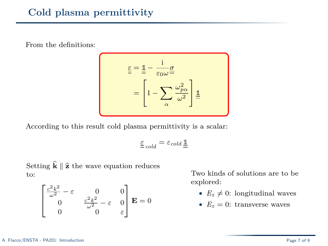From the definitions:

$$
\underline{\underline{\epsilon}} = \underline{\underline{\mathbb{1}}} - \frac{\underline{\mathbf{i}}}{\epsilon_0 \omega} \underline{\underline{\sigma}}
$$
\n
$$
= \left[ 1 - \sum_{\alpha} \frac{\omega_{p\alpha}^2}{\omega^2} \right] \underline{\underline{\mathbb{1}}}
$$

According to this result cold plasma permittivity is a scalar:

$$
\underline{\underline{\varepsilon}}_{cold} = \varepsilon_{cold} \underline{\underline{\mathbb{1}}}
$$

Setting  $\hat{\mathbf{k}} \parallel \hat{\mathbf{z}}$  the wave equation reduces to:

$$
\begin{bmatrix} \frac{c^2 k^2}{\omega^2} - \varepsilon & 0 & 0\\ 0 & \frac{c^2 k^2}{\omega^2} - \varepsilon & 0\\ 0 & 0 & \varepsilon \end{bmatrix} \mathbf{E} = 0
$$

Two kinds of solutions are to be explored:

- $E_z \neq 0$ : longitudinal waves
- $E_z = 0$ : transverse waves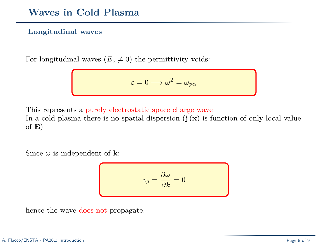### **Longitudinal waves**

For longitudinal waves  $(E_z \neq 0)$  the permittivity voids:

$$
\varepsilon=0\longrightarrow\omega^2=\omega_{p\alpha}
$$

This represents a purely electrostatic space charge wave

In a cold plasma there is no spatial dispersion  $(j(x))$  is function of only local value of **E**)

Since  $\omega$  is independent of **k**:

$$
v_g = \frac{\partial \omega}{\partial k} = 0
$$

hence the wave does not propagate.